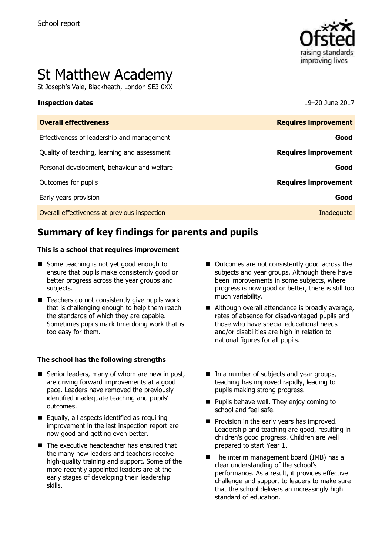

# St Matthew Academy

St Joseph's Vale, Blackheath, London SE3 0XX

#### **Inspection dates** 19–20 June 2017

| <b>Overall effectiveness</b>                 | <b>Requires improvement</b> |
|----------------------------------------------|-----------------------------|
| Effectiveness of leadership and management   | Good                        |
| Quality of teaching, learning and assessment | <b>Requires improvement</b> |
| Personal development, behaviour and welfare  | Good                        |
| Outcomes for pupils                          | <b>Requires improvement</b> |
| Early years provision                        | Good                        |
| Overall effectiveness at previous inspection | Inadequate                  |

# **Summary of key findings for parents and pupils**

#### **This is a school that requires improvement**

- Some teaching is not yet good enough to ensure that pupils make consistently good or better progress across the year groups and subjects.
- Teachers do not consistently give pupils work that is challenging enough to help them reach the standards of which they are capable. Sometimes pupils mark time doing work that is too easy for them.

#### **The school has the following strengths**

- Senior leaders, many of whom are new in post, are driving forward improvements at a good pace. Leaders have removed the previously identified inadequate teaching and pupils' outcomes.
- $\blacksquare$  Equally, all aspects identified as requiring improvement in the last inspection report are now good and getting even better.
- The executive headteacher has ensured that the many new leaders and teachers receive high-quality training and support. Some of the more recently appointed leaders are at the early stages of developing their leadership skills.
- Outcomes are not consistently good across the subjects and year groups. Although there have been improvements in some subjects, where progress is now good or better, there is still too much variability.
- Although overall attendance is broadly average, rates of absence for disadvantaged pupils and those who have special educational needs and/or disabilities are high in relation to national figures for all pupils.
- In a number of subjects and year groups, teaching has improved rapidly, leading to pupils making strong progress.
- **Pupils behave well. They enjoy coming to** school and feel safe.
- **Provision in the early years has improved.** Leadership and teaching are good, resulting in children's good progress. Children are well prepared to start Year 1.
- $\blacksquare$  The interim management board (IMB) has a clear understanding of the school's performance. As a result, it provides effective challenge and support to leaders to make sure that the school delivers an increasingly high standard of education.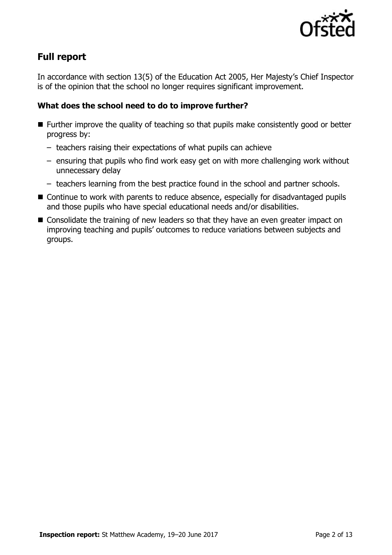

# **Full report**

In accordance with section 13(5) of the Education Act 2005, Her Majesty's Chief Inspector is of the opinion that the school no longer requires significant improvement.

### **What does the school need to do to improve further?**

- Further improve the quality of teaching so that pupils make consistently good or better progress by:
	- teachers raising their expectations of what pupils can achieve
	- ensuring that pupils who find work easy get on with more challenging work without unnecessary delay
	- teachers learning from the best practice found in the school and partner schools.
- Continue to work with parents to reduce absence, especially for disadvantaged pupils and those pupils who have special educational needs and/or disabilities.
- Consolidate the training of new leaders so that they have an even greater impact on improving teaching and pupils' outcomes to reduce variations between subjects and groups.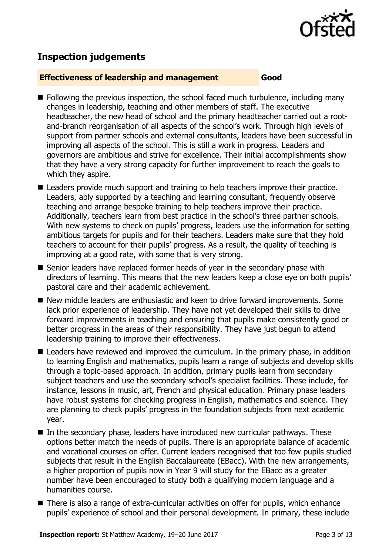

# **Inspection judgements**

#### **Effectiveness of leadership and management Good**

- $\blacksquare$  Following the previous inspection, the school faced much turbulence, including many changes in leadership, teaching and other members of staff. The executive headteacher, the new head of school and the primary headteacher carried out a rootand-branch reorganisation of all aspects of the school's work. Through high levels of support from partner schools and external consultants, leaders have been successful in improving all aspects of the school. This is still a work in progress. Leaders and governors are ambitious and strive for excellence. Their initial accomplishments show that they have a very strong capacity for further improvement to reach the goals to which they aspire.
- Leaders provide much support and training to help teachers improve their practice. Leaders, ably supported by a teaching and learning consultant, frequently observe teaching and arrange bespoke training to help teachers improve their practice. Additionally, teachers learn from best practice in the school's three partner schools. With new systems to check on pupils' progress, leaders use the information for setting ambitious targets for pupils and for their teachers. Leaders make sure that they hold teachers to account for their pupils' progress. As a result, the quality of teaching is improving at a good rate, with some that is very strong.
- Senior leaders have replaced former heads of year in the secondary phase with directors of learning. This means that the new leaders keep a close eye on both pupils' pastoral care and their academic achievement.
- New middle leaders are enthusiastic and keen to drive forward improvements. Some lack prior experience of leadership. They have not yet developed their skills to drive forward improvements in teaching and ensuring that pupils make consistently good or better progress in the areas of their responsibility. They have just begun to attend leadership training to improve their effectiveness.
- Leaders have reviewed and improved the curriculum. In the primary phase, in addition to learning English and mathematics, pupils learn a range of subjects and develop skills through a topic-based approach. In addition, primary pupils learn from secondary subject teachers and use the secondary school's specialist facilities. These include, for instance, lessons in music, art, French and physical education. Primary phase leaders have robust systems for checking progress in English, mathematics and science. They are planning to check pupils' progress in the foundation subjects from next academic year.
- $\blacksquare$  In the secondary phase, leaders have introduced new curricular pathways. These options better match the needs of pupils. There is an appropriate balance of academic and vocational courses on offer. Current leaders recognised that too few pupils studied subjects that result in the English Baccalaureate (EBacc). With the new arrangements, a higher proportion of pupils now in Year 9 will study for the EBacc as a greater number have been encouraged to study both a qualifying modern language and a humanities course.
- There is also a range of extra-curricular activities on offer for pupils, which enhance pupils' experience of school and their personal development. In primary, these include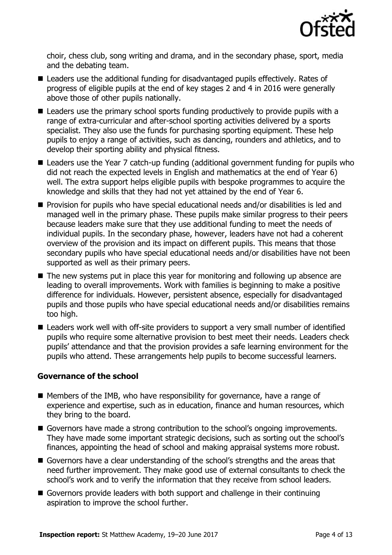

choir, chess club, song writing and drama, and in the secondary phase, sport, media and the debating team.

- Leaders use the additional funding for disadvantaged pupils effectively. Rates of progress of eligible pupils at the end of key stages 2 and 4 in 2016 were generally above those of other pupils nationally.
- Leaders use the primary school sports funding productively to provide pupils with a range of extra-curricular and after-school sporting activities delivered by a sports specialist. They also use the funds for purchasing sporting equipment. These help pupils to enjoy a range of activities, such as dancing, rounders and athletics, and to develop their sporting ability and physical fitness.
- Leaders use the Year 7 catch-up funding (additional government funding for pupils who did not reach the expected levels in English and mathematics at the end of Year 6) well. The extra support helps eligible pupils with bespoke programmes to acquire the knowledge and skills that they had not yet attained by the end of Year 6.
- **Provision for pupils who have special educational needs and/or disabilities is led and** managed well in the primary phase. These pupils make similar progress to their peers because leaders make sure that they use additional funding to meet the needs of individual pupils. In the secondary phase, however, leaders have not had a coherent overview of the provision and its impact on different pupils. This means that those secondary pupils who have special educational needs and/or disabilities have not been supported as well as their primary peers.
- The new systems put in place this year for monitoring and following up absence are leading to overall improvements. Work with families is beginning to make a positive difference for individuals. However, persistent absence, especially for disadvantaged pupils and those pupils who have special educational needs and/or disabilities remains too high.
- Leaders work well with off-site providers to support a very small number of identified pupils who require some alternative provision to best meet their needs. Leaders check pupils' attendance and that the provision provides a safe learning environment for the pupils who attend. These arrangements help pupils to become successful learners.

### **Governance of the school**

- $\blacksquare$  Members of the IMB, who have responsibility for governance, have a range of experience and expertise, such as in education, finance and human resources, which they bring to the board.
- Governors have made a strong contribution to the school's ongoing improvements. They have made some important strategic decisions, such as sorting out the school's finances, appointing the head of school and making appraisal systems more robust.
- Governors have a clear understanding of the school's strengths and the areas that need further improvement. They make good use of external consultants to check the school's work and to verify the information that they receive from school leaders.
- Governors provide leaders with both support and challenge in their continuing aspiration to improve the school further.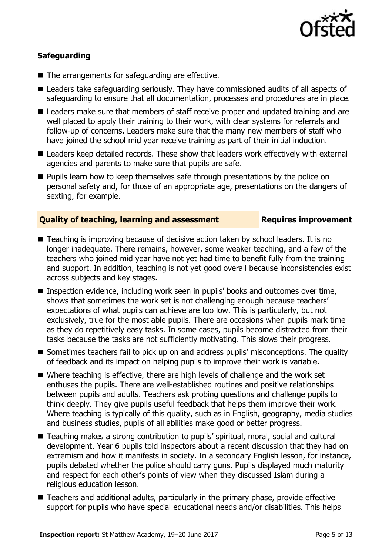

### **Safeguarding**

- The arrangements for safeguarding are effective.
- Leaders take safeguarding seriously. They have commissioned audits of all aspects of safeguarding to ensure that all documentation, processes and procedures are in place.
- Leaders make sure that members of staff receive proper and updated training and are well placed to apply their training to their work, with clear systems for referrals and follow-up of concerns. Leaders make sure that the many new members of staff who have joined the school mid year receive training as part of their initial induction.
- Leaders keep detailed records. These show that leaders work effectively with external agencies and parents to make sure that pupils are safe.
- **Pupils learn how to keep themselves safe through presentations by the police on** personal safety and, for those of an appropriate age, presentations on the dangers of sexting, for example.

#### **Quality of teaching, learning and assessment Fig. 2.1 Requires improvement**

- Teaching is improving because of decisive action taken by school leaders. It is no longer inadequate. There remains, however, some weaker teaching, and a few of the teachers who joined mid year have not yet had time to benefit fully from the training and support. In addition, teaching is not yet good overall because inconsistencies exist across subjects and key stages.
- Inspection evidence, including work seen in pupils' books and outcomes over time, shows that sometimes the work set is not challenging enough because teachers' expectations of what pupils can achieve are too low. This is particularly, but not exclusively, true for the most able pupils. There are occasions when pupils mark time as they do repetitively easy tasks. In some cases, pupils become distracted from their tasks because the tasks are not sufficiently motivating. This slows their progress.
- Sometimes teachers fail to pick up on and address pupils' misconceptions. The quality of feedback and its impact on helping pupils to improve their work is variable.
- Where teaching is effective, there are high levels of challenge and the work set enthuses the pupils. There are well-established routines and positive relationships between pupils and adults. Teachers ask probing questions and challenge pupils to think deeply. They give pupils useful feedback that helps them improve their work. Where teaching is typically of this quality, such as in English, geography, media studies and business studies, pupils of all abilities make good or better progress.
- Teaching makes a strong contribution to pupils' spiritual, moral, social and cultural development. Year 6 pupils told inspectors about a recent discussion that they had on extremism and how it manifests in society. In a secondary English lesson, for instance, pupils debated whether the police should carry guns. Pupils displayed much maturity and respect for each other's points of view when they discussed Islam during a religious education lesson.
- Teachers and additional adults, particularly in the primary phase, provide effective support for pupils who have special educational needs and/or disabilities. This helps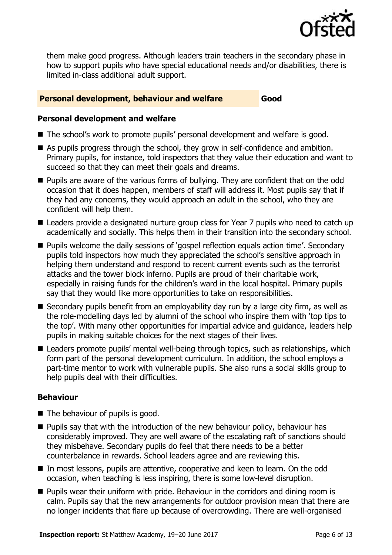

them make good progress. Although leaders train teachers in the secondary phase in how to support pupils who have special educational needs and/or disabilities, there is limited in-class additional adult support.

#### **Personal development, behaviour and welfare <b>Good**

#### **Personal development and welfare**

- The school's work to promote pupils' personal development and welfare is good.
- As pupils progress through the school, they grow in self-confidence and ambition. Primary pupils, for instance, told inspectors that they value their education and want to succeed so that they can meet their goals and dreams.
- **Pupils are aware of the various forms of bullying. They are confident that on the odd** occasion that it does happen, members of staff will address it. Most pupils say that if they had any concerns, they would approach an adult in the school, who they are confident will help them.
- Leaders provide a designated nurture group class for Year 7 pupils who need to catch up academically and socially. This helps them in their transition into the secondary school.
- **Pupils welcome the daily sessions of 'gospel reflection equals action time'. Secondary** pupils told inspectors how much they appreciated the school's sensitive approach in helping them understand and respond to recent current events such as the terrorist attacks and the tower block inferno. Pupils are proud of their charitable work, especially in raising funds for the children's ward in the local hospital. Primary pupils say that they would like more opportunities to take on responsibilities.
- Secondary pupils benefit from an employability day run by a large city firm, as well as the role-modelling days led by alumni of the school who inspire them with 'top tips to the top'. With many other opportunities for impartial advice and guidance, leaders help pupils in making suitable choices for the next stages of their lives.
- Leaders promote pupils' mental well-being through topics, such as relationships, which form part of the personal development curriculum. In addition, the school employs a part-time mentor to work with vulnerable pupils. She also runs a social skills group to help pupils deal with their difficulties.

### **Behaviour**

- $\blacksquare$  The behaviour of pupils is good.
- **Pupils say that with the introduction of the new behaviour policy, behaviour has** considerably improved. They are well aware of the escalating raft of sanctions should they misbehave. Secondary pupils do feel that there needs to be a better counterbalance in rewards. School leaders agree and are reviewing this.
- In most lessons, pupils are attentive, cooperative and keen to learn. On the odd occasion, when teaching is less inspiring, there is some low-level disruption.
- **Pupils wear their uniform with pride. Behaviour in the corridors and dining room is** calm. Pupils say that the new arrangements for outdoor provision mean that there are no longer incidents that flare up because of overcrowding. There are well-organised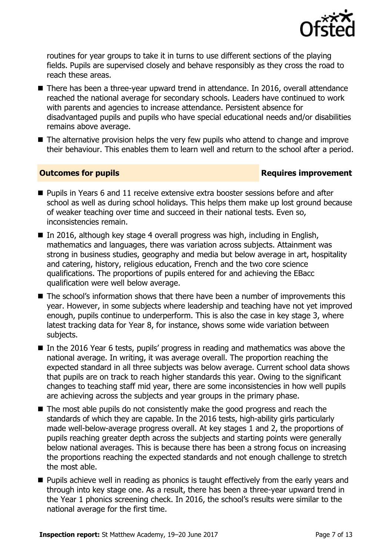

routines for year groups to take it in turns to use different sections of the playing fields. Pupils are supervised closely and behave responsibly as they cross the road to reach these areas.

- There has been a three-year upward trend in attendance. In 2016, overall attendance reached the national average for secondary schools. Leaders have continued to work with parents and agencies to increase attendance. Persistent absence for disadvantaged pupils and pupils who have special educational needs and/or disabilities remains above average.
- The alternative provision helps the very few pupils who attend to change and improve their behaviour. This enables them to learn well and return to the school after a period.

### **Outcomes for pupils Requires improvement**

- **Pupils in Years 6 and 11 receive extensive extra booster sessions before and after** school as well as during school holidays. This helps them make up lost ground because of weaker teaching over time and succeed in their national tests. Even so, inconsistencies remain.
- In 2016, although key stage 4 overall progress was high, including in English, mathematics and languages, there was variation across subjects. Attainment was strong in business studies, geography and media but below average in art, hospitality and catering, history, religious education, French and the two core science qualifications. The proportions of pupils entered for and achieving the EBacc qualification were well below average.
- $\blacksquare$  The school's information shows that there have been a number of improvements this year. However, in some subjects where leadership and teaching have not yet improved enough, pupils continue to underperform. This is also the case in key stage 3, where latest tracking data for Year 8, for instance, shows some wide variation between subjects.
- In the 2016 Year 6 tests, pupils' progress in reading and mathematics was above the national average. In writing, it was average overall. The proportion reaching the expected standard in all three subjects was below average. Current school data shows that pupils are on track to reach higher standards this year. Owing to the significant changes to teaching staff mid year, there are some inconsistencies in how well pupils are achieving across the subjects and year groups in the primary phase.
- The most able pupils do not consistently make the good progress and reach the standards of which they are capable. In the 2016 tests, high-ability girls particularly made well-below-average progress overall. At key stages 1 and 2, the proportions of pupils reaching greater depth across the subjects and starting points were generally below national averages. This is because there has been a strong focus on increasing the proportions reaching the expected standards and not enough challenge to stretch the most able.
- **Pupils achieve well in reading as phonics is taught effectively from the early years and** through into key stage one. As a result, there has been a three-year upward trend in the Year 1 phonics screening check. In 2016, the school's results were similar to the national average for the first time.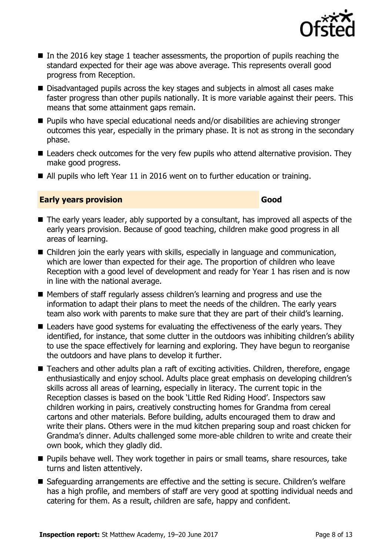

- In the 2016 key stage 1 teacher assessments, the proportion of pupils reaching the standard expected for their age was above average. This represents overall good progress from Reception.
- Disadvantaged pupils across the key stages and subjects in almost all cases make faster progress than other pupils nationally. It is more variable against their peers. This means that some attainment gaps remain.
- Pupils who have special educational needs and/or disabilities are achieving stronger outcomes this year, especially in the primary phase. It is not as strong in the secondary phase.
- Leaders check outcomes for the very few pupils who attend alternative provision. They make good progress.
- All pupils who left Year 11 in 2016 went on to further education or training.

### **Early years provision Good**

- The early years leader, ably supported by a consultant, has improved all aspects of the early years provision. Because of good teaching, children make good progress in all areas of learning.
- Children join the early years with skills, especially in language and communication, which are lower than expected for their age. The proportion of children who leave Reception with a good level of development and ready for Year 1 has risen and is now in line with the national average.
- Members of staff regularly assess children's learning and progress and use the information to adapt their plans to meet the needs of the children. The early years team also work with parents to make sure that they are part of their child's learning.
- Leaders have good systems for evaluating the effectiveness of the early years. They identified, for instance, that some clutter in the outdoors was inhibiting children's ability to use the space effectively for learning and exploring. They have begun to reorganise the outdoors and have plans to develop it further.
- Teachers and other adults plan a raft of exciting activities. Children, therefore, engage enthusiastically and enjoy school. Adults place great emphasis on developing children's skills across all areas of learning, especially in literacy. The current topic in the Reception classes is based on the book 'Little Red Riding Hood'. Inspectors saw children working in pairs, creatively constructing homes for Grandma from cereal cartons and other materials. Before building, adults encouraged them to draw and write their plans. Others were in the mud kitchen preparing soup and roast chicken for Grandma's dinner. Adults challenged some more-able children to write and create their own book, which they gladly did.
- **Pupils behave well. They work together in pairs or small teams, share resources, take** turns and listen attentively.
- Safeguarding arrangements are effective and the setting is secure. Children's welfare has a high profile, and members of staff are very good at spotting individual needs and catering for them. As a result, children are safe, happy and confident.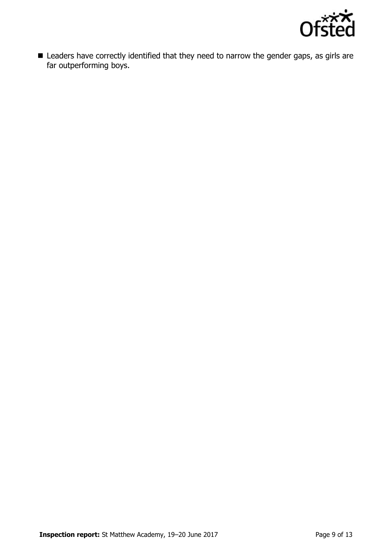

**E** Leaders have correctly identified that they need to narrow the gender gaps, as girls are far outperforming boys.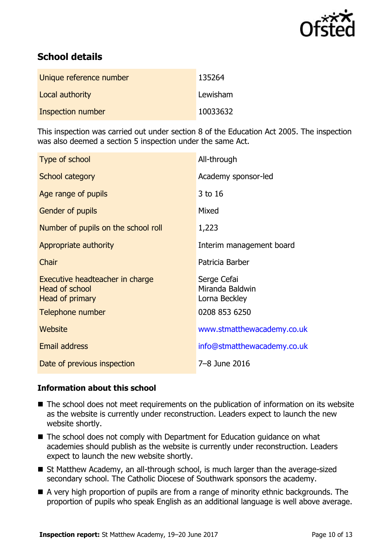

# **School details**

| Unique reference number | 135264   |
|-------------------------|----------|
| Local authority         | Lewisham |
| Inspection number       | 10033632 |

This inspection was carried out under section 8 of the Education Act 2005. The inspection was also deemed a section 5 inspection under the same Act.

| Type of school                                                              | All-through                                     |
|-----------------------------------------------------------------------------|-------------------------------------------------|
| School category                                                             | Academy sponsor-led                             |
| Age range of pupils                                                         | 3 to 16                                         |
| Gender of pupils                                                            | Mixed                                           |
| Number of pupils on the school roll                                         | 1,223                                           |
| Appropriate authority                                                       | Interim management board                        |
| Chair                                                                       | Patricia Barber                                 |
| Executive headteacher in charge<br><b>Head of school</b><br>Head of primary | Serge Cefai<br>Miranda Baldwin<br>Lorna Beckley |
| Telephone number                                                            | 0208 853 6250                                   |
| Website                                                                     | www.stmatthewacademy.co.uk                      |
| <b>Email address</b>                                                        | info@stmatthewacademy.co.uk                     |
| Date of previous inspection                                                 | 7-8 June 2016                                   |

### **Information about this school**

- The school does not meet requirements on the publication of information on its website as the website is currently under reconstruction. Leaders expect to launch the new website shortly.
- The school does not comply with Department for Education guidance on what academies should publish as the website is currently under reconstruction. Leaders expect to launch the new website shortly.
- St Matthew Academy, an all-through school, is much larger than the average-sized secondary school. The Catholic Diocese of Southwark sponsors the academy.
- A very high proportion of pupils are from a range of minority ethnic backgrounds. The proportion of pupils who speak English as an additional language is well above average.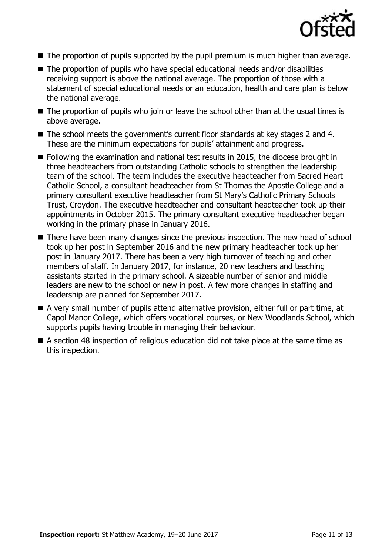

- The proportion of pupils supported by the pupil premium is much higher than average.
- The proportion of pupils who have special educational needs and/or disabilities receiving support is above the national average. The proportion of those with a statement of special educational needs or an education, health and care plan is below the national average.
- The proportion of pupils who join or leave the school other than at the usual times is above average.
- The school meets the government's current floor standards at key stages 2 and 4. These are the minimum expectations for pupils' attainment and progress.
- Following the examination and national test results in 2015, the diocese brought in three headteachers from outstanding Catholic schools to strengthen the leadership team of the school. The team includes the executive headteacher from Sacred Heart Catholic School, a consultant headteacher from St Thomas the Apostle College and a primary consultant executive headteacher from St Mary's Catholic Primary Schools Trust, Croydon. The executive headteacher and consultant headteacher took up their appointments in October 2015. The primary consultant executive headteacher began working in the primary phase in January 2016.
- There have been many changes since the previous inspection. The new head of school took up her post in September 2016 and the new primary headteacher took up her post in January 2017. There has been a very high turnover of teaching and other members of staff. In January 2017, for instance, 20 new teachers and teaching assistants started in the primary school. A sizeable number of senior and middle leaders are new to the school or new in post. A few more changes in staffing and leadership are planned for September 2017.
- A very small number of pupils attend alternative provision, either full or part time, at Capol Manor College, which offers vocational courses, or New Woodlands School, which supports pupils having trouble in managing their behaviour.
- A section 48 inspection of religious education did not take place at the same time as this inspection.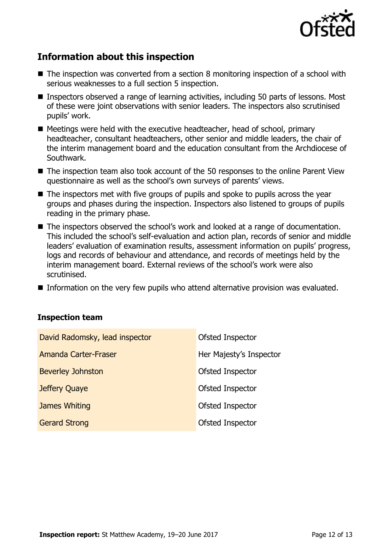

# **Information about this inspection**

- The inspection was converted from a section 8 monitoring inspection of a school with serious weaknesses to a full section 5 inspection.
- Inspectors observed a range of learning activities, including 50 parts of lessons. Most of these were joint observations with senior leaders. The inspectors also scrutinised pupils' work.
- Meetings were held with the executive headteacher, head of school, primary headteacher, consultant headteachers, other senior and middle leaders, the chair of the interim management board and the education consultant from the Archdiocese of Southwark.
- The inspection team also took account of the 50 responses to the online Parent View questionnaire as well as the school's own surveys of parents' views.
- The inspectors met with five groups of pupils and spoke to pupils across the year groups and phases during the inspection. Inspectors also listened to groups of pupils reading in the primary phase.
- The inspectors observed the school's work and looked at a range of documentation. This included the school's self-evaluation and action plan, records of senior and middle leaders' evaluation of examination results, assessment information on pupils' progress, logs and records of behaviour and attendance, and records of meetings held by the interim management board. External reviews of the school's work were also scrutinised.
- Information on the very few pupils who attend alternative provision was evaluated.

#### **Inspection team**

| David Radomsky, lead inspector | Ofsted Inspector        |
|--------------------------------|-------------------------|
| Amanda Carter-Fraser           | Her Majesty's Inspector |
| <b>Beverley Johnston</b>       | <b>Ofsted Inspector</b> |
| Jeffery Quaye                  | Ofsted Inspector        |
| James Whiting                  | Ofsted Inspector        |
| <b>Gerard Strong</b>           | Ofsted Inspector        |